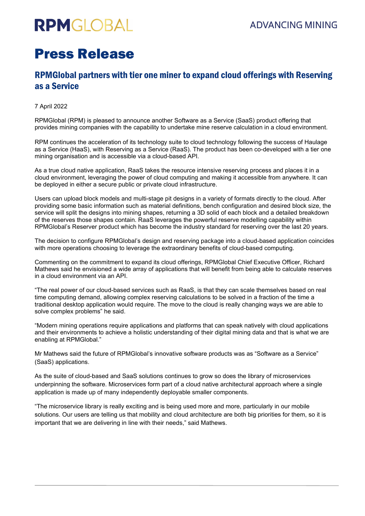# **RPMGLOBAL**

## Press Release

### RPMGlobal partners with tier one miner to expand cloud offerings with Reserving as a Service

#### 7 April 2022

RPMGlobal (RPM) is pleased to announce another Software as a Service (SaaS) product offering that provides mining companies with the capability to undertake mine reserve calculation in a cloud environment.

RPM continues the acceleration of its technology suite to cloud technology following the success of Haulage as a Service (HaaS), with Reserving as a Service (RaaS). The product has been co-developed with a tier one mining organisation and is accessible via a cloud-based API.

As a true cloud native application, RaaS takes the resource intensive reserving process and places it in a cloud environment, leveraging the power of cloud computing and making it accessible from anywhere. It can be deployed in either a secure public or private cloud infrastructure.

Users can upload block models and multi-stage pit designs in a variety of formats directly to the cloud. After providing some basic information such as material definitions, bench configuration and desired block size, the service will split the designs into mining shapes, returning a 3D solid of each block and a detailed breakdown of the reserves those shapes contain. RaaS leverages the powerful reserve modelling capability within RPMGlobal's Reserver product which has become the industry standard for reserving over the last 20 years.

The decision to configure RPMGlobal's design and reserving package into a cloud-based application coincides with more operations choosing to leverage the extraordinary benefits of cloud-based computing.

Commenting on the commitment to expand its cloud offerings, RPMGlobal Chief Executive Officer, Richard Mathews said he envisioned a wide array of applications that will benefit from being able to calculate reserves in a cloud environment via an API.

"The real power of our cloud-based services such as RaaS, is that they can scale themselves based on real time computing demand, allowing complex reserving calculations to be solved in a fraction of the time a traditional desktop application would require. The move to the cloud is really changing ways we are able to solve complex problems" he said.

"Modern mining operations require applications and platforms that can speak natively with cloud applications and their environments to achieve a holistic understanding of their digital mining data and that is what we are enabling at RPMGlobal."

Mr Mathews said the future of RPMGlobal's innovative software products was as "Software as a Service" (SaaS) applications.

As the suite of cloud-based and SaaS solutions continues to grow so does the library of microservices underpinning the software. Microservices form part of a cloud native architectural approach where a single application is made up of many independently deployable smaller components.

"The microservice library is really exciting and is being used more and more, particularly in our mobile solutions. Our users are telling us that mobility and cloud architecture are both big priorities for them, so it is important that we are delivering in line with their needs," said Mathews.